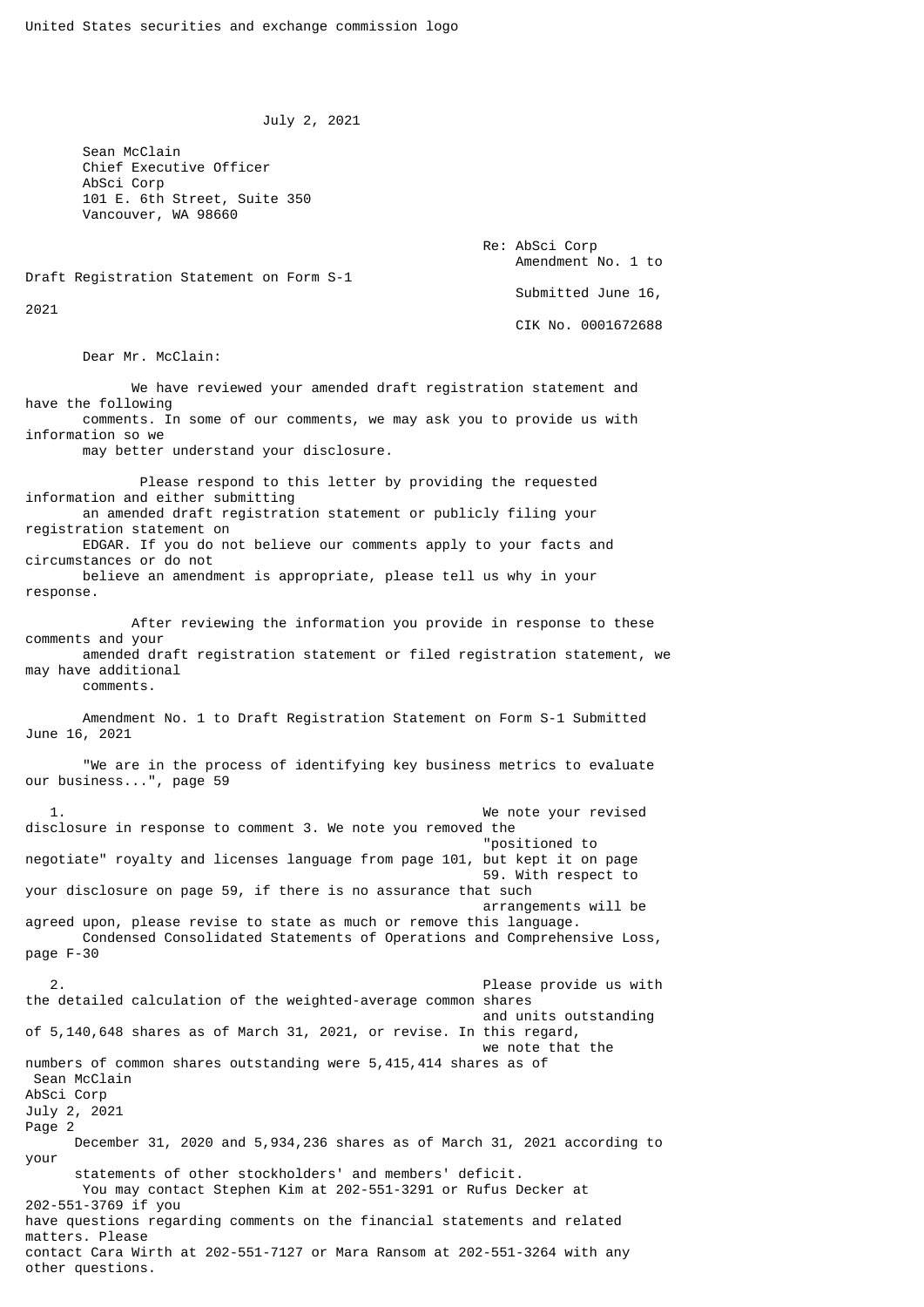July 2, 2021

 Sean McClain Chief Executive Officer AbSci Corp 101 E. 6th Street, Suite 350 Vancouver, WA 98660

> Re: AbSci Corp Amendment No. 1 to Submitted June 16, CIK No. 0001672688

Draft Registration Statement on Form S-1

2021

Dear Mr. McClain:

 We have reviewed your amended draft registration statement and have the following comments. In some of our comments, we may ask you to provide us with information so we may better understand your disclosure. Please respond to this letter by providing the requested information and either submitting an amended draft registration statement or publicly filing your registration statement on EDGAR. If you do not believe our comments apply to your facts and circumstances or do not believe an amendment is appropriate, please tell us why in your response. After reviewing the information you provide in response to these comments and your amended draft registration statement or filed registration statement, we may have additional comments. Amendment No. 1 to Draft Registration Statement on Form S-1 Submitted June 16, 2021 "We are in the process of identifying key business metrics to evaluate our business...", page 59 1. We note your revised disclosure in response to comment 3. We note you removed the "positioned to negotiate" royalty and licenses language from page 101, but kept it on page 59. With respect to your disclosure on page 59, if there is no assurance that such arrangements will be agreed upon, please revise to state as much or remove this language. Condensed Consolidated Statements of Operations and Comprehensive Loss, page F-30 2. Please provide us with the detailed calculation of the weighted-average common shares and units outstanding of 5,140,648 shares as of March 31, 2021, or revise. In this regard, we note that the numbers of common shares outstanding were 5,415,414 shares as of Sean McClain AbSci Corp July 2, 2021 Page 2 December 31, 2020 and 5,934,236 shares as of March 31, 2021 according to your statements of other stockholders' and members' deficit. You may contact Stephen Kim at 202-551-3291 or Rufus Decker at 202-551-3769 if you have questions regarding comments on the financial statements and related matters. Please contact Cara Wirth at 202-551-7127 or Mara Ransom at 202-551-3264 with any other questions.